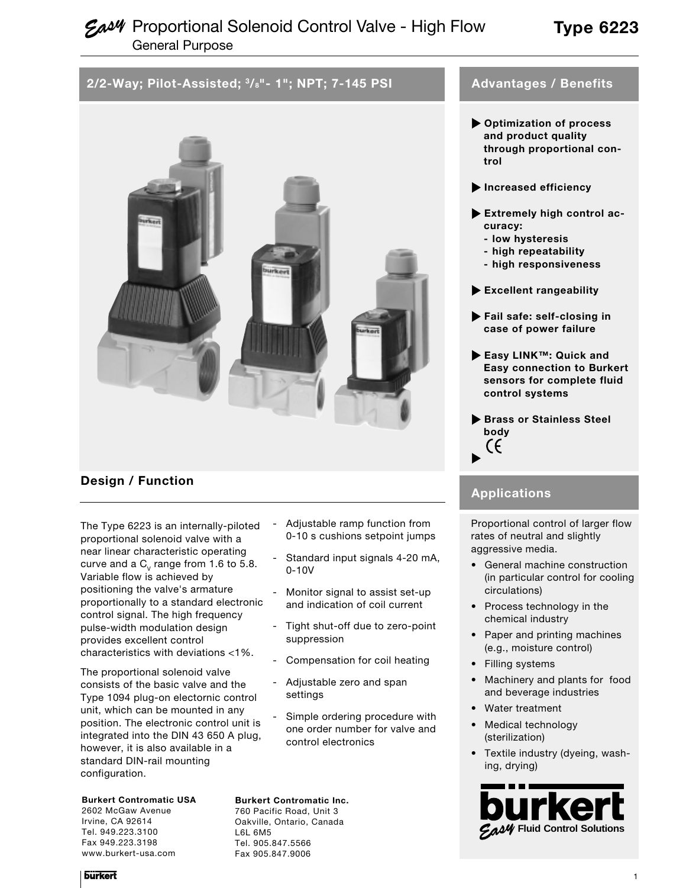# **Eas4** Proportional Solenoid Control Valve - High Flow General Purpose

# **Type 6223**

# **2/2-Way; Pilot-Assisted; 3/8"- 1"; NPT; 7-145 PSI**



## **Design / Function**

The Type 6223 is an internally-piloted proportional solenoid valve with a near linear characteristic operating curve and a  $C_v$  range from 1.6 to 5.8. Variable flow is achieved by positioning the valve's armature proportionally to a standard electronic control signal. The high frequency pulse-width modulation design provides excellent control characteristics with deviations <1%.

The proportional solenoid valve consists of the basic valve and the Type 1094 plug-on electornic control unit, which can be mounted in any position. The electronic control unit is integrated into the DIN 43 650 A plug, however, it is also available in a standard DIN-rail mounting configuration.

### **Burkert Contromatic USA**

2602 McGaw Avenue Irvine, CA 92614 Tel. 949.223.3100 Fax 949.223.3198 www.burkert-usa.com

- Adjustable ramp function from 0-10 s cushions setpoint jumps
- Standard input signals 4-20 mA, 0-10V
- Monitor signal to assist set-up and indication of coil current
- Tight shut-off due to zero-point suppression
- Compensation for coil heating
- Adjustable zero and span settings
- Simple ordering procedure with one order number for valve and control electronics

#### **Burkert Contromatic Inc.**

760 Pacific Road, Unit 3 Oakville, Ontario, Canada L6L 6M5 Tel. 905.847.5566 Fax 905.847.9006

## **Advantages / Benefits**

- **Optimization of process and product quality through proportional control**
- **Increased efficiency**
- **Extremely high control accuracy:**
	- **low hysteresis**
	- **high repeatability**
	- **high responsiveness**
- **Excellent rangeability**
- **Fail safe: self-closing in case of power failure**
- **Easy LINK™: Quick and Easy connection to Burkert sensors for complete fluid control systems**
- **Brass or Stainless Steel body** (f

## **Applications**

Proportional control of larger flow rates of neutral and slightly aggressive media.

- General machine construction (in particular control for cooling circulations)
- Process technology in the chemical industry
- Paper and printing machines (e.g., moisture control)
- Filling systems
- Machinery and plants for food and beverage industries
- Water treatment
- Medical technology (sterilization)
- Textile industry (dyeing, washing, drying)

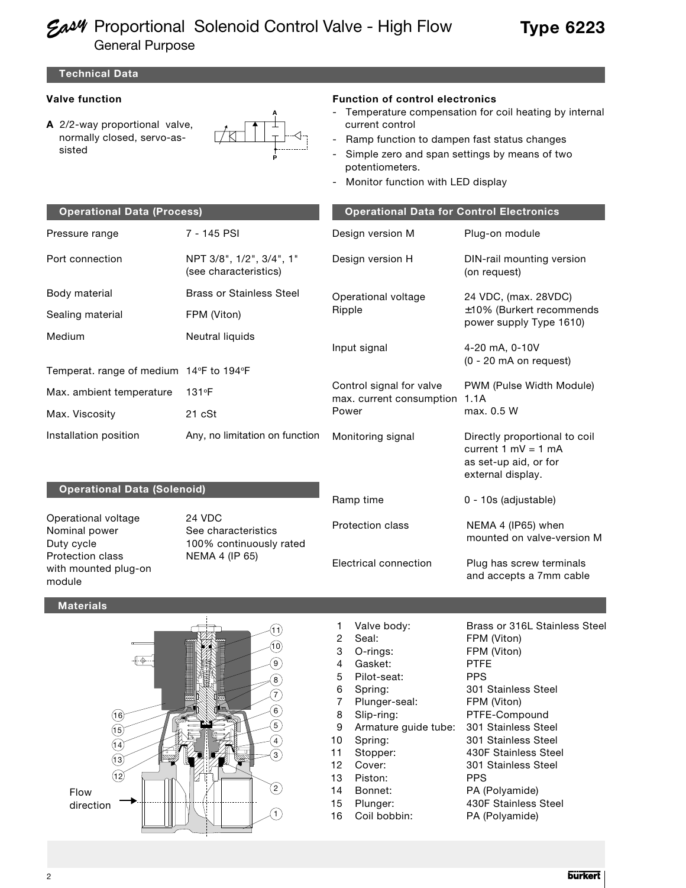# **Eas4** Proportional Solenoid Control Valve - High Flow General Purpose

**Technical Data**

## **Valve function**

**A** 2/2-way proportional valve, normally closed, servo-assisted



### **Function of control electronics**

- Temperature compensation for coil heating by internal current control
- Ramp function to dampen fast status changes
- Simple zero and span settings by means of two potentiometers.
- Monitor function with LED display

| <b>Operational Data (Process)</b>                 |                                                   | <b>Operational Data for Control Electronics</b>      |                                                                                                        |  |  |  |
|---------------------------------------------------|---------------------------------------------------|------------------------------------------------------|--------------------------------------------------------------------------------------------------------|--|--|--|
| Pressure range                                    | 7 - 145 PSI                                       | Design version M                                     | Plug-on module                                                                                         |  |  |  |
| Port connection                                   | NPT 3/8", 1/2", 3/4", 1"<br>(see characteristics) | Design version H                                     | DIN-rail mounting version<br>(on request)                                                              |  |  |  |
| Body material                                     | <b>Brass or Stainless Steel</b>                   | Operational voltage                                  | 24 VDC, (max. 28VDC)                                                                                   |  |  |  |
| Sealing material                                  | FPM (Viton)                                       | Ripple                                               | $\pm 10\%$ (Burkert recommends<br>power supply Type 1610)                                              |  |  |  |
| Medium<br>Temperat. range of medium 14°F to 194°F | Neutral liquids                                   | Input signal                                         | 4-20 mA, 0-10V<br>(0 - 20 mA on request)                                                               |  |  |  |
| Max. ambient temperature                          | $131$ °F                                          | Control signal for valve<br>max. current consumption | PWM (Pulse Width Module)<br>1.1A<br>max. 0.5 W                                                         |  |  |  |
| Max. Viscosity                                    | $21$ $cSt$                                        | Power                                                |                                                                                                        |  |  |  |
| Installation position                             | Any, no limitation on function                    | Monitoring signal                                    | Directly proportional to coil<br>current $1$ mV = $1$ mA<br>as set-up aid, or for<br>external display. |  |  |  |
| Onerational Data (Solenoid)                       |                                                   |                                                      |                                                                                                        |  |  |  |

#### **Operational Data (Solenoid)**

Operational voltage 24 VDC Nominal power See characteristics Protection class NEMA 4 (IP 65) with mounted plug-on module

Duty cycle **100%** continuously rated

Ramp time 0 - 10s (adjustable)

Protection class NEMA 4 (IP65) when

Electrical connection Plug has screw terminals and accepts a 7mm cable

mounted on valve-version M

#### **Materials**



| 1  | Valve body:          | Brass or 316L Stain |
|----|----------------------|---------------------|
| 2  | Seal:                | FPM (Viton)         |
| 3  | O-rings:             | FPM (Viton)         |
| 4  | Gasket:              | <b>PTFE</b>         |
| 5  | Pilot-seat:          | <b>PPS</b>          |
| 6  | Spring:              | 301 Stainless Steel |
| 7  | Plunger-seal:        | FPM (Viton)         |
| 8  | Slip-ring:           | PTFE-Compound       |
| 9  | Armature guide tube: | 301 Stainless Steel |
| 10 | Spring:              | 301 Stainless Steel |
| 11 | Stopper:             | 430F Stainless Stee |
| 12 | Cover:               | 301 Stainless Steel |
| 13 | Piston:              | PPS                 |
| 14 | Bonnet:              | PA (Polyamide)      |
| 15 | Plunger:             | 430F Stainless Stee |
| 16 | Coil bobbin:         | PA (Polyamide)      |

ss or 316L Stainless Steel 1 (Viton) 1 (Viton) Stainless Steel 1 (Viton) E-Compound Stainless Steel F Stainless Steel Stainless Steel Polyamide) F Stainless Steel

**burkert**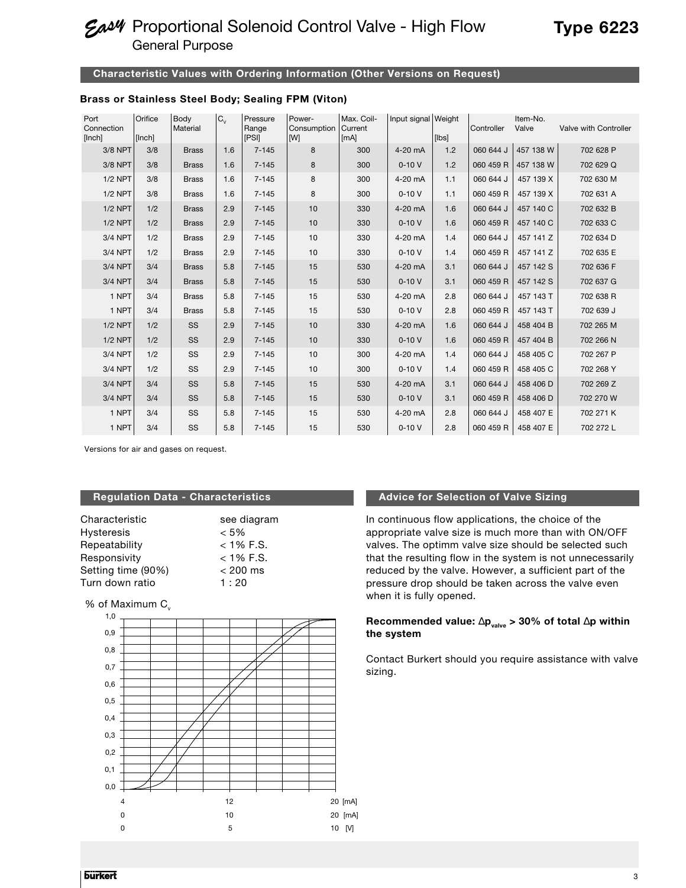# **Eas4** Proportional Solenoid Control Valve - High Flow General Purpose

### **Characteristic Values with Ordering Information (Other Versions on Request)**

### **Brass or Stainless Steel Body; Sealing FPM (Viton)**

| Port<br>Connection<br>[Inch] | Orifice<br>[Inch] | Body<br>Material | $C_{\vee}$ | Pressure<br>Range<br><b>[PSI]</b> | Power-<br>Consumption<br><b>IMI</b> | Max. Coil-<br>Current<br>[mA] | Input signal Weight | [Ibs] | Controller | Item-No.<br>Valve | Valve with Controller |
|------------------------------|-------------------|------------------|------------|-----------------------------------|-------------------------------------|-------------------------------|---------------------|-------|------------|-------------------|-----------------------|
| 3/8 NPT                      | 3/8               | <b>Brass</b>     | 1.6        | $7 - 145$                         | 8                                   | 300                           | 4-20 mA             | 1.2   | 060 644 J  | 457 138 W         | 702 628 P             |
| 3/8 NPT                      | 3/8               | <b>Brass</b>     | 1.6        | $7 - 145$                         | 8                                   | 300                           | $0 - 10V$           | 1.2   | 060 459 R  | 457 138 W         | 702 629 Q             |
| $1/2$ NPT                    | 3/8               | <b>Brass</b>     | 1.6        | $7 - 145$                         | 8                                   | 300                           | 4-20 mA             | 1.1   | 060 644 J  | 457 139 X         | 702 630 M             |
| <b>1/2 NPT</b>               | 3/8               | <b>Brass</b>     | 1.6        | $7 - 145$                         | 8                                   | 300                           | $0 - 10V$           | 1.1   | 060 459 R  | 457 139 X         | 702 631 A             |
| $1/2$ NPT                    | 1/2               | <b>Brass</b>     | 2.9        | $7 - 145$                         | 10                                  | 330                           | 4-20 mA             | 1.6   | 060 644 J  | 457 140 C         | 702 632 B             |
| $1/2$ NPT                    | 1/2               | <b>Brass</b>     | 2.9        | $7 - 145$                         | 10                                  | 330                           | $0 - 10V$           | 1.6   | 060 459 R  | 457 140 C         | 702 633 C             |
| 3/4 NPT                      | 1/2               | <b>Brass</b>     | 2.9        | $7 - 145$                         | 10                                  | 330                           | 4-20 mA             | 1.4   | 060 644 J  | 457 141 Z         | 702 634 D             |
| 3/4 NPT                      | 1/2               | <b>Brass</b>     | 2.9        | $7 - 145$                         | 10                                  | 330                           | $0 - 10V$           | 1.4   | 060 459 R  | 457 141 Z         | 702 635 E             |
| 3/4 NPT                      | 3/4               | <b>Brass</b>     | 5.8        | $7 - 145$                         | 15                                  | 530                           | 4-20 mA             | 3.1   | 060 644 J  | 457 142 S         | 702 636 F             |
| 3/4 NPT                      | 3/4               | <b>Brass</b>     | 5.8        | $7 - 145$                         | 15                                  | 530                           | $0 - 10V$           | 3.1   | 060 459 R  | 457 142 S         | 702 637 G             |
| 1 NPT                        | 3/4               | <b>Brass</b>     | 5.8        | $7 - 145$                         | 15                                  | 530                           | 4-20 mA             | 2.8   | 060 644 J  | 457 143 T         | 702 638 R             |
| 1 NPT                        | 3/4               | <b>Brass</b>     | 5.8        | $7 - 145$                         | 15                                  | 530                           | $0 - 10V$           | 2.8   | 060 459 R  | 457 143 T         | 702 639 J             |
| $1/2$ NPT                    | 1/2               | <b>SS</b>        | 2.9        | $7 - 145$                         | 10                                  | 330                           | 4-20 mA             | 1.6   | 060 644 J  | 458 404 B         | 702 265 M             |
| $1/2$ NPT                    | 1/2               | <b>SS</b>        | 2.9        | $7 - 145$                         | 10                                  | 330                           | $0 - 10V$           | 1.6   | 060 459 R  | 457 404 B         | 702 266 N             |
| 3/4 NPT                      | 1/2               | <b>SS</b>        | 2.9        | $7 - 145$                         | 10                                  | 300                           | 4-20 mA             | 1.4   | 060 644 J  | 458 405 C         | 702 267 P             |
| 3/4 NPT                      | 1/2               | SS               | 2.9        | $7 - 145$                         | 10                                  | 300                           | $0 - 10V$           | 1.4   | 060 459 R  | 458 405 C         | 702 268 Y             |
| 3/4 NPT                      | 3/4               | SS               | 5.8        | $7 - 145$                         | 15                                  | 530                           | 4-20 mA             | 3.1   | 060 644 J  | 458 406 D         | 702 269 Z             |
| 3/4 NPT                      | 3/4               | <b>SS</b>        | 5.8        | $7 - 145$                         | 15                                  | 530                           | $0 - 10V$           | 3.1   | 060 459 R  | 458 406 D         | 702 270 W             |
| 1 NPT                        | 3/4               | SS               | 5.8        | $7 - 145$                         | 15                                  | 530                           | 4-20 mA             | 2.8   | 060 644 J  | 458 407 E         | 702 271 K             |
| 1 NPT                        | 3/4               | SS               | 5.8        | $7 - 145$                         | 15                                  | 530                           | $0 - 10V$           | 2.8   | 060 459 R  | 458 407 E         | 702 272 L             |

Versions for air and gases on request.

### **Regulation Data - Characteristics**

| Characteristic     | see diagram |
|--------------------|-------------|
| <b>Hysteresis</b>  | $<$ 5%      |
| Repeatability      | $<$ 1% F.S. |
| Responsivity       | $<$ 1% F.S. |
| Setting time (90%) | $< 200$ ms  |
| Turn down ratio    | 1:20        |

% of Maximum  $C_v$ 



#### **Advice for Selection of Valve Sizing**

In continuous flow applications, the choice of the appropriate valve size is much more than with ON/OFF valves. The optimm valve size should be selected such that the resulting flow in the system is not unnecessarily reduced by the valve. However, a sufficient part of the pressure drop should be taken across the valve even when it is fully opened.

### **Recommended value:** ∆**pvalve > 30% of total** ∆**p within the system**

Contact Burkert should you require assistance with valve sizing.